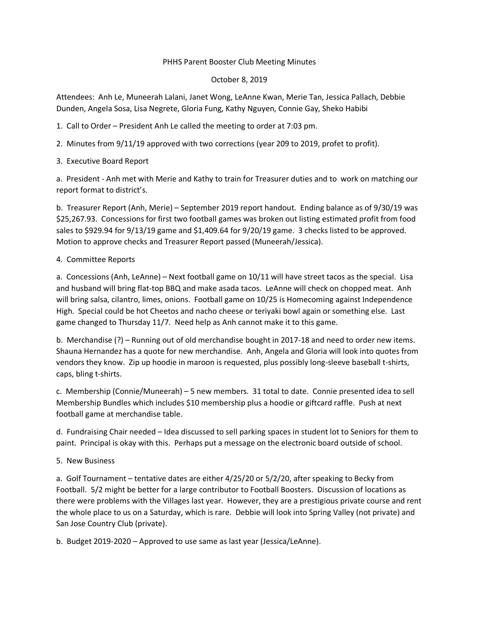#### PHHS Parent Booster Club Meeting Minutes

### October 8, 2019

Attendees: Anh Le, Muneerah Lalani, Janet Wong, LeAnne Kwan, Merie Tan, Jessica Pallach, Debbie Dunden, Angela Sosa, Lisa Negrete, Gloria Fung, Kathy Nguyen, Connie Gay, Sheko Habibi

- 1. Call to Order President Anh Le called the meeting to order at 7:03 pm.
- 2. Minutes from 9/11/19 approved with two corrections (year 209 to 2019, profet to profit).
- 3. Executive Board Report

a. President - Anh met with Merie and Kathy to train for Treasurer duties and to work on matching our report format to district's.

b. Treasurer Report (Anh, Merie) – September 2019 report handout. Ending balance as of 9/30/19 was \$25,267.93. Concessions for first two football games was broken out listing estimated profit from food sales to \$929.94 for 9/13/19 game and \$1,409.64 for 9/20/19 game. 3 checks listed to be approved. Motion to approve checks and Treasurer Report passed (Muneerah/Jessica).

## 4. Committee Reports

a. Concessions (Anh, LeAnne) – Next football game on 10/11 will have street tacos as the special. Lisa and husband will bring flat-top BBQ and make asada tacos. LeAnne will check on chopped meat. Anh will bring salsa, cilantro, limes, onions. Football game on 10/25 is Homecoming against Independence High. Special could be hot Cheetos and nacho cheese or teriyaki bowl again or something else. Last game changed to Thursday 11/7. Need help as Anh cannot make it to this game.

b. Merchandise (?) – Running out of old merchandise bought in 2017-18 and need to order new items. Shauna Hernandez has a quote for new merchandise. Anh, Angela and Gloria will look into quotes from vendors they know. Zip up hoodie in maroon is requested, plus possibly long-sleeve baseball t-shirts, caps, bling t-shirts.

c. Membership (Connie/Muneerah) – 5 new members. 31 total to date. Connie presented idea to sell Membership Bundles which includes \$10 membership plus a hoodie or giftcard raffle. Push at next football game at merchandise table.

d. Fundraising Chair needed – Idea discussed to sell parking spaces in student lot to Seniors for them to paint. Principal is okay with this. Perhaps put a message on the electronic board outside of school.

# 5. New Business

a. Golf Tournament – tentative dates are either 4/25/20 or 5/2/20, after speaking to Becky from Football. 5/2 might be better for a large contributor to Football Boosters. Discussion of locations as there were problems with the Villages last year. However, they are a prestigious private course and rent the whole place to us on a Saturday, which is rare. Debbie will look into Spring Valley (not private) and San Jose Country Club (private).

b. Budget 2019-2020 – Approved to use same as last year (Jessica/LeAnne).